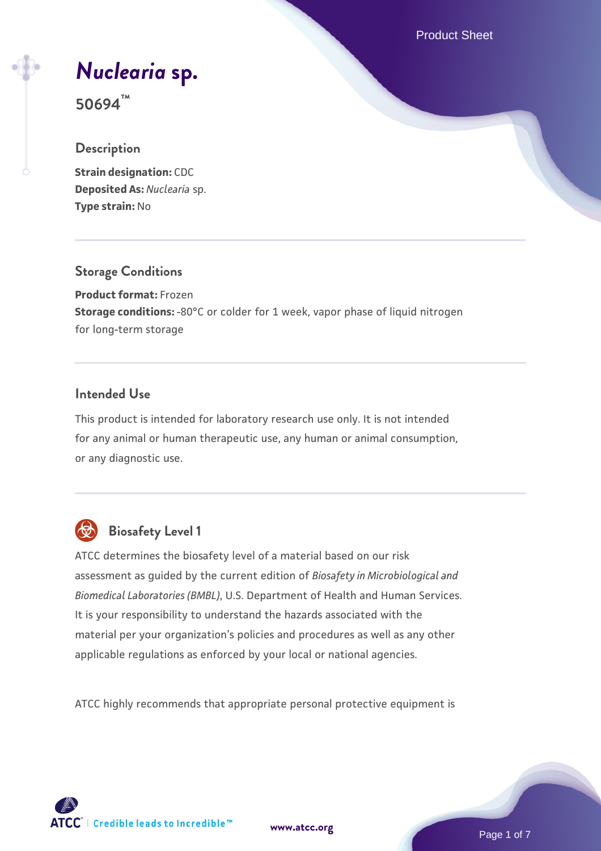Product Sheet

# *[Nuclearia](https://www.atcc.org/products/50694)* **[sp.](https://www.atcc.org/products/50694)**

**50694™**

## **Description**

**Strain designation: CDC Deposited As:** *Nuclearia* sp. **Type strain:** No

## **Storage Conditions**

**Product format:** Frozen **Storage conditions:** -80°C or colder for 1 week, vapor phase of liquid nitrogen for long-term storage

## **Intended Use**

This product is intended for laboratory research use only. It is not intended for any animal or human therapeutic use, any human or animal consumption, or any diagnostic use.



## **Biosafety Level 1**

ATCC determines the biosafety level of a material based on our risk assessment as guided by the current edition of *Biosafety in Microbiological and Biomedical Laboratories (BMBL)*, U.S. Department of Health and Human Services. It is your responsibility to understand the hazards associated with the material per your organization's policies and procedures as well as any other applicable regulations as enforced by your local or national agencies.

ATCC highly recommends that appropriate personal protective equipment is

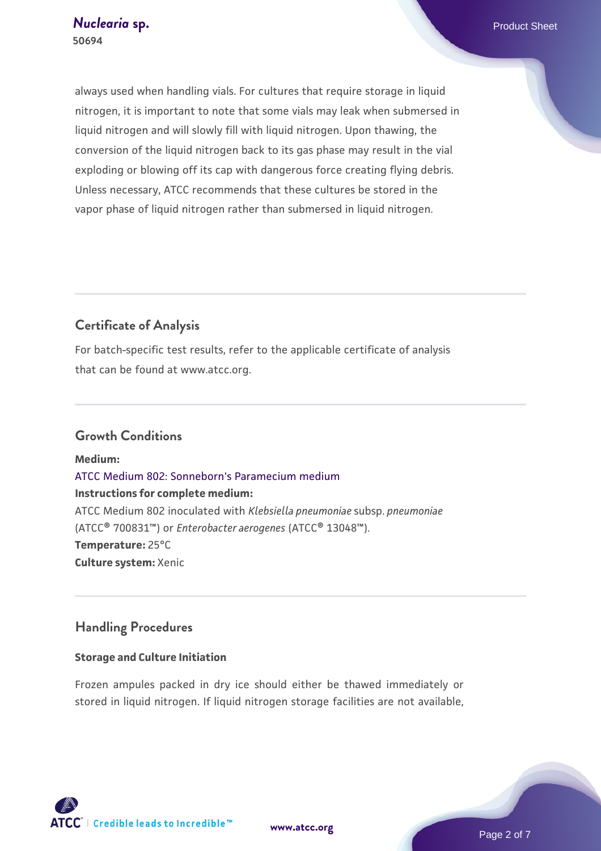always used when handling vials. For cultures that require storage in liquid nitrogen, it is important to note that some vials may leak when submersed in liquid nitrogen and will slowly fill with liquid nitrogen. Upon thawing, the conversion of the liquid nitrogen back to its gas phase may result in the vial exploding or blowing off its cap with dangerous force creating flying debris. Unless necessary, ATCC recommends that these cultures be stored in the vapor phase of liquid nitrogen rather than submersed in liquid nitrogen.

## **Certificate of Analysis**

For batch-specific test results, refer to the applicable certificate of analysis that can be found at www.atcc.org.

## **Growth Conditions**

**Medium:**  [ATCC Medium 802: Sonneborn's Paramecium medium](https://www.atcc.org/-/media/product-assets/documents/microbial-media-formulations/8/0/2/atcc-medium-802.pdf?rev=73d25dbdd49b44529c8ac49753787d74) **Instructions for complete medium:** ATCC Medium 802 inoculated with *Klebsiella pneumoniae* subsp. *pneumoniae* (ATCC® 700831™) or *Enterobacter aerogenes* (ATCC® 13048™). **Temperature:** 25°C **Culture system:** Xenic

## **Handling Procedures**

#### **Storage and Culture Initiation**

Frozen ampules packed in dry ice should either be thawed immediately or stored in liquid nitrogen. If liquid nitrogen storage facilities are not available,

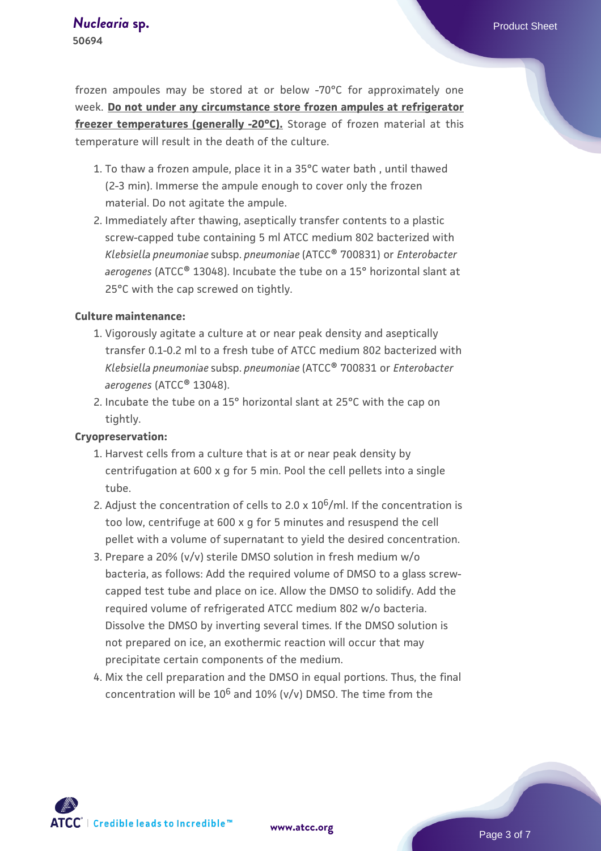frozen ampoules may be stored at or below -70°C for approximately one week. **Do not under any circumstance store frozen ampules at refrigerator freezer temperatures (generally -20°C).** Storage of frozen material at this temperature will result in the death of the culture.

- 1. To thaw a frozen ampule, place it in a 35°C water bath , until thawed (2-3 min). Immerse the ampule enough to cover only the frozen material. Do not agitate the ampule.
- 2. Immediately after thawing, aseptically transfer contents to a plastic screw-capped tube containing 5 ml ATCC medium 802 bacterized with *Klebsiella pneumoniae* subsp. *pneumoniae* (ATCC® 700831) or *Enterobacter aerogenes* (ATCC® 13048). Incubate the tube on a 15° horizontal slant at 25°C with the cap screwed on tightly.

#### **Culture maintenance:**

- 1. Vigorously agitate a culture at or near peak density and aseptically transfer 0.1-0.2 ml to a fresh tube of ATCC medium 802 bacterized with *Klebsiella pneumoniae* subsp. *pneumoniae* (ATCC® 700831 or *Enterobacter aerogenes* (ATCC® 13048).
- 2. Incubate the tube on a 15° horizontal slant at 25°C with the cap on tightly.

#### **Cryopreservation:**

- 1. Harvest cells from a culture that is at or near peak density by centrifugation at 600 x g for 5 min. Pool the cell pellets into a single tube.
- 2. Adjust the concentration of cells to 2.0 x  $10^6$ /ml. If the concentration is too low, centrifuge at 600 x g for 5 minutes and resuspend the cell pellet with a volume of supernatant to yield the desired concentration.
- 3. Prepare a 20% (v/v) sterile DMSO solution in fresh medium w/o bacteria, as follows: Add the required volume of DMSO to a glass screwcapped test tube and place on ice. Allow the DMSO to solidify. Add the required volume of refrigerated ATCC medium 802 w/o bacteria. Dissolve the DMSO by inverting several times. If the DMSO solution is not prepared on ice, an exothermic reaction will occur that may precipitate certain components of the medium.
- 4. Mix the cell preparation and the DMSO in equal portions. Thus, the final concentration will be  $10^6$  and  $10\%$  (v/v) DMSO. The time from the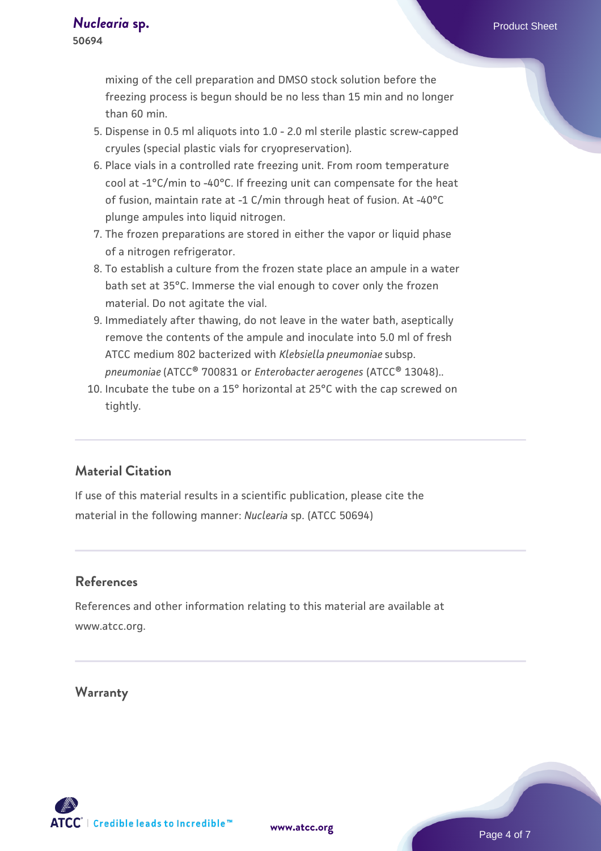mixing of the cell preparation and DMSO stock solution before the freezing process is begun should be no less than 15 min and no longer than 60 min.

- 5. Dispense in 0.5 ml aliquots into 1.0 2.0 ml sterile plastic screw-capped cryules (special plastic vials for cryopreservation).
- 6. Place vials in a controlled rate freezing unit. From room temperature cool at -1°C/min to -40°C. If freezing unit can compensate for the heat of fusion, maintain rate at -1 C/min through heat of fusion. At -40°C plunge ampules into liquid nitrogen.
- 7. The frozen preparations are stored in either the vapor or liquid phase of a nitrogen refrigerator.
- To establish a culture from the frozen state place an ampule in a water 8. bath set at 35°C. Immerse the vial enough to cover only the frozen material. Do not agitate the vial.
- Immediately after thawing, do not leave in the water bath, aseptically 9. remove the contents of the ampule and inoculate into 5.0 ml of fresh ATCC medium 802 bacterized with *Klebsiella pneumoniae* subsp. *pneumoniae* (ATCC® 700831 or *Enterobacter aerogenes* (ATCC® 13048)..
- 10. Incubate the tube on a 15° horizontal at 25°C with the cap screwed on tightly.

## **Material Citation**

If use of this material results in a scientific publication, please cite the material in the following manner: *Nuclearia* sp. (ATCC 50694)

## **References**

References and other information relating to this material are available at www.atcc.org.

#### **Warranty**

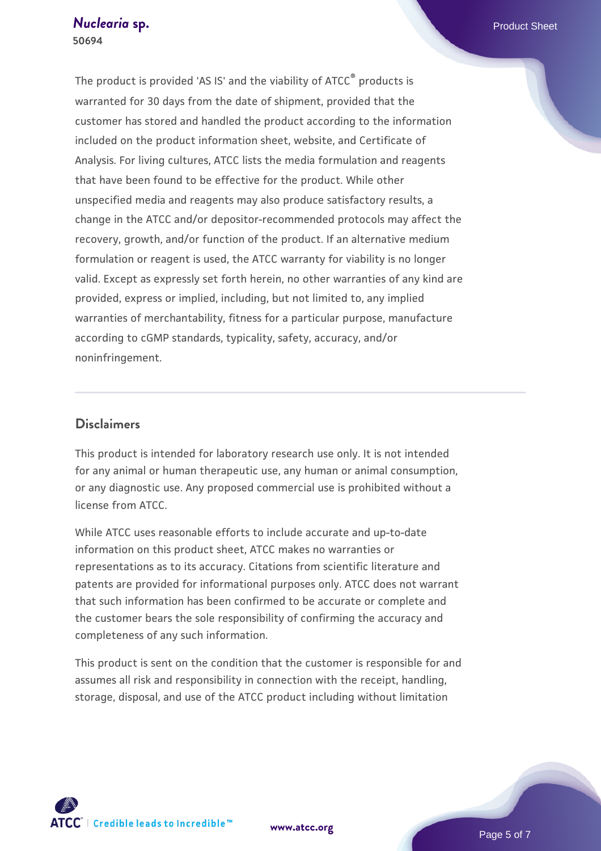The product is provided 'AS IS' and the viability of ATCC® products is warranted for 30 days from the date of shipment, provided that the customer has stored and handled the product according to the information included on the product information sheet, website, and Certificate of Analysis. For living cultures, ATCC lists the media formulation and reagents that have been found to be effective for the product. While other unspecified media and reagents may also produce satisfactory results, a change in the ATCC and/or depositor-recommended protocols may affect the recovery, growth, and/or function of the product. If an alternative medium formulation or reagent is used, the ATCC warranty for viability is no longer valid. Except as expressly set forth herein, no other warranties of any kind are provided, express or implied, including, but not limited to, any implied warranties of merchantability, fitness for a particular purpose, manufacture according to cGMP standards, typicality, safety, accuracy, and/or noninfringement.

### **Disclaimers**

This product is intended for laboratory research use only. It is not intended for any animal or human therapeutic use, any human or animal consumption, or any diagnostic use. Any proposed commercial use is prohibited without a license from ATCC.

While ATCC uses reasonable efforts to include accurate and up-to-date information on this product sheet, ATCC makes no warranties or representations as to its accuracy. Citations from scientific literature and patents are provided for informational purposes only. ATCC does not warrant that such information has been confirmed to be accurate or complete and the customer bears the sole responsibility of confirming the accuracy and completeness of any such information.

This product is sent on the condition that the customer is responsible for and assumes all risk and responsibility in connection with the receipt, handling, storage, disposal, and use of the ATCC product including without limitation



**[www.atcc.org](http://www.atcc.org)**

Page 5 of 7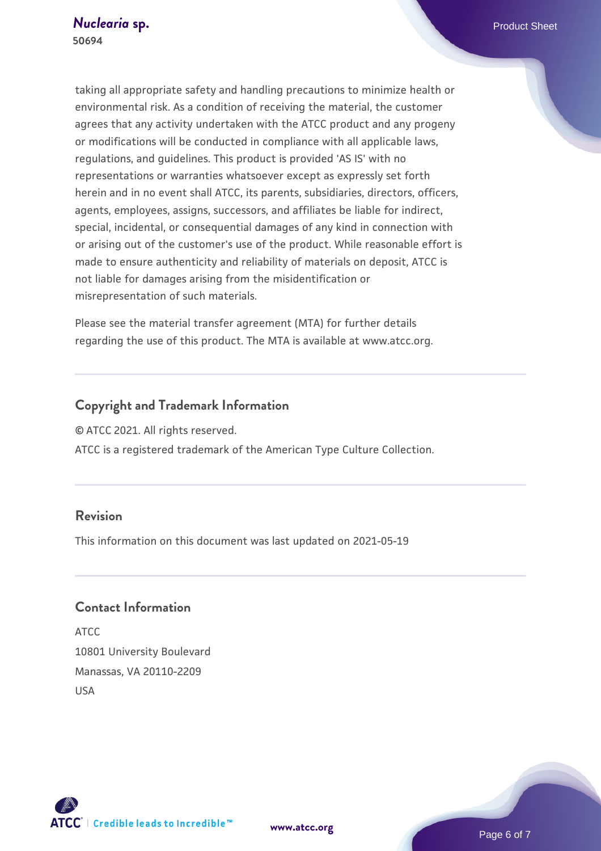taking all appropriate safety and handling precautions to minimize health or environmental risk. As a condition of receiving the material, the customer agrees that any activity undertaken with the ATCC product and any progeny or modifications will be conducted in compliance with all applicable laws, regulations, and guidelines. This product is provided 'AS IS' with no representations or warranties whatsoever except as expressly set forth herein and in no event shall ATCC, its parents, subsidiaries, directors, officers, agents, employees, assigns, successors, and affiliates be liable for indirect, special, incidental, or consequential damages of any kind in connection with or arising out of the customer's use of the product. While reasonable effort is made to ensure authenticity and reliability of materials on deposit, ATCC is not liable for damages arising from the misidentification or misrepresentation of such materials.

Please see the material transfer agreement (MTA) for further details regarding the use of this product. The MTA is available at www.atcc.org.

## **Copyright and Trademark Information**

© ATCC 2021. All rights reserved.

ATCC is a registered trademark of the American Type Culture Collection.

## **Revision**

This information on this document was last updated on 2021-05-19

## **Contact Information**

ATCC 10801 University Boulevard Manassas, VA 20110-2209 USA